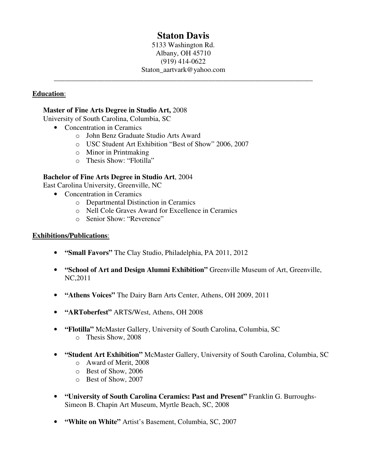# **Staton Davis**

5133 Washington Rd. Albany, OH 45710 (919) 414-0622 Staton\_aartvark@yahoo.com

\_\_\_\_\_\_\_\_\_\_\_\_\_\_\_\_\_\_\_\_\_\_\_\_\_\_\_\_\_\_\_\_\_\_\_\_\_\_\_\_\_\_\_\_\_\_\_\_\_\_\_\_\_\_\_\_\_\_\_\_\_\_\_\_\_\_\_\_\_\_\_\_

# **Education**:

### **Master of Fine Arts Degree in Studio Art,** 2008

University of South Carolina, Columbia, SC

- Concentration in Ceramics
	- o John Benz Graduate Studio Arts Award
	- o USC Student Art Exhibition "Best of Show" 2006, 2007
	- o Minor in Printmaking
	- o Thesis Show: "Flotilla"

### **Bachelor of Fine Arts Degree in Studio Art**, 2004

East Carolina University, Greenville, NC

- Concentration in Ceramics
	- o Departmental Distinction in Ceramics
	- o Nell Cole Graves Award for Excellence in Ceramics
	- o Senior Show: "Reverence"

#### **Exhibitions/Publications**:

- **"Small Favors"** The Clay Studio, Philadelphia, PA 2011, 2012
- **"School of Art and Design Alumni Exhibition"** Greenville Museum of Art, Greenville, NC,2011
- **"Athens Voices"** The Dairy Barn Arts Center, Athens, OH 2009, 2011
- **"ARToberfest"** ARTS/West, Athens, OH 2008
- **"Flotilla"** McMaster Gallery, University of South Carolina, Columbia, SC o Thesis Show, 2008
- **"Student Art Exhibition"** McMaster Gallery, University of South Carolina, Columbia, SC
	- o Award of Merit, 2008
	- o Best of Show, 2006
	- o Best of Show, 2007
- **"University of South Carolina Ceramics: Past and Present"** Franklin G. Burroughs-Simeon B. Chapin Art Museum, Myrtle Beach, SC, 2008
- **"White on White"** Artist's Basement, Columbia, SC, 2007